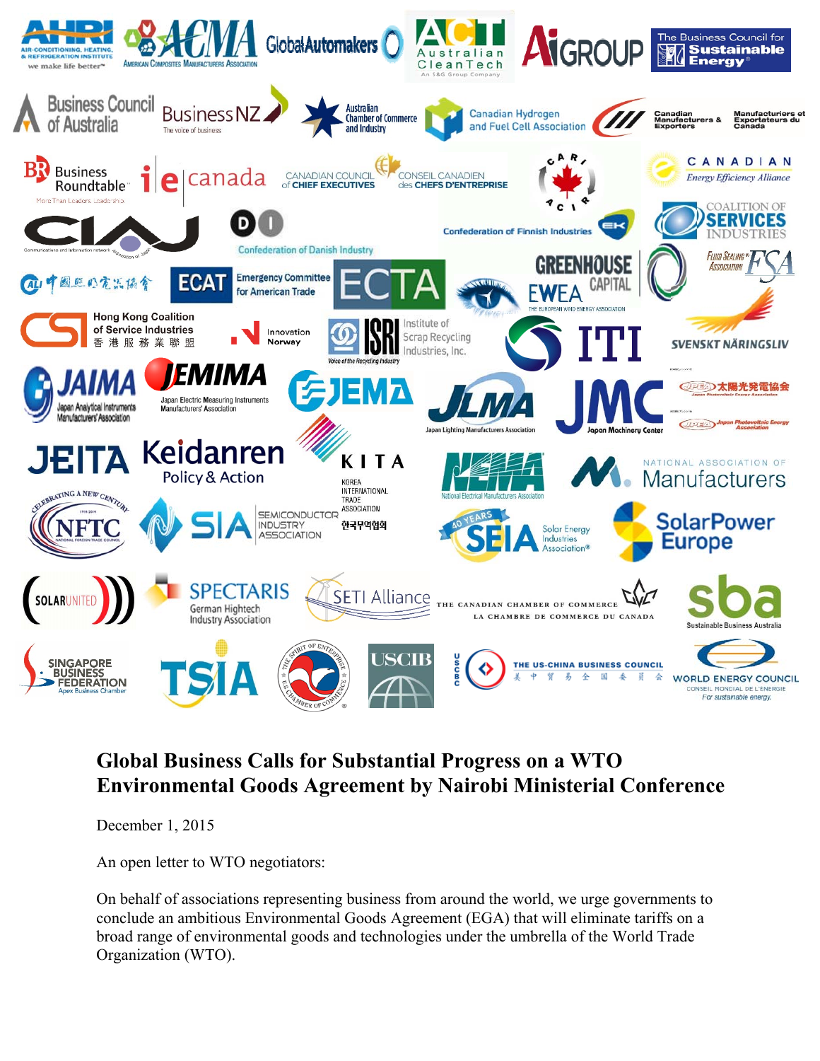

## **Global Business Calls for Substantial Progress on a WTO Environmental Goods Agreement by Nairobi Ministerial Conference**

December 1, 2015

An open letter to WTO negotiators:

On behalf of associations representing business from around the world, we urge governments to conclude an ambitious Environmental Goods Agreement (EGA) that will eliminate tariffs on a broad range of environmental goods and technologies under the umbrella of the World Trade Organization (WTO).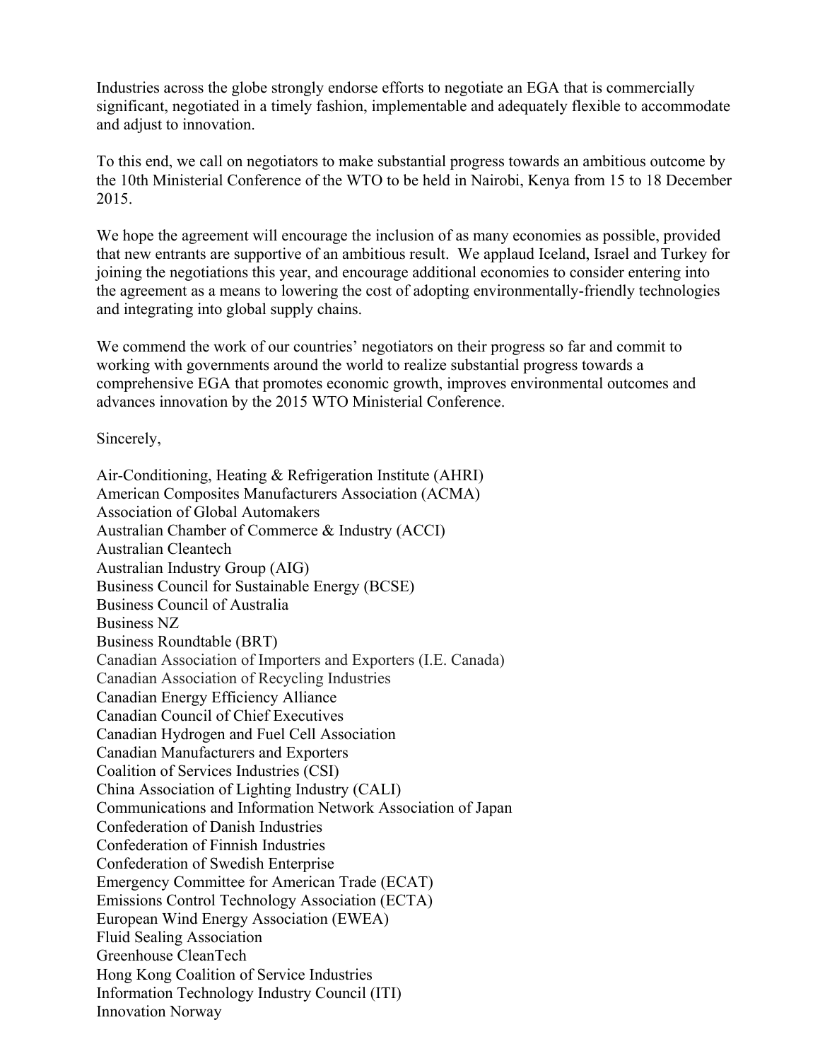Industries across the globe strongly endorse efforts to negotiate an EGA that is commercially significant, negotiated in a timely fashion, implementable and adequately flexible to accommodate and adjust to innovation.

To this end, we call on negotiators to make substantial progress towards an ambitious outcome by the 10th Ministerial Conference of the WTO to be held in Nairobi, Kenya from 15 to 18 December 2015.

We hope the agreement will encourage the inclusion of as many economies as possible, provided that new entrants are supportive of an ambitious result. We applaud Iceland, Israel and Turkey for joining the negotiations this year, and encourage additional economies to consider entering into the agreement as a means to lowering the cost of adopting environmentally-friendly technologies and integrating into global supply chains.

We commend the work of our countries' negotiators on their progress so far and commit to working with governments around the world to realize substantial progress towards a comprehensive EGA that promotes economic growth, improves environmental outcomes and advances innovation by the 2015 WTO Ministerial Conference.

Sincerely,

Air-Conditioning, Heating & Refrigeration Institute (AHRI) American Composites Manufacturers Association (ACMA) Association of Global Automakers Australian Chamber of Commerce & Industry (ACCI) Australian Cleantech Australian Industry Group (AIG) Business Council for Sustainable Energy (BCSE) Business Council of Australia Business NZ Business Roundtable (BRT) Canadian Association of Importers and Exporters (I.E. Canada) Canadian Association of Recycling Industries Canadian Energy Efficiency Alliance Canadian Council of Chief Executives Canadian Hydrogen and Fuel Cell Association Canadian Manufacturers and Exporters Coalition of Services Industries (CSI) China Association of Lighting Industry (CALI) Communications and Information Network Association of Japan Confederation of Danish Industries Confederation of Finnish Industries Confederation of Swedish Enterprise Emergency Committee for American Trade (ECAT) Emissions Control Technology Association (ECTA) European Wind Energy Association (EWEA) Fluid Sealing Association Greenhouse CleanTech Hong Kong Coalition of Service Industries Information Technology Industry Council (ITI) Innovation Norway